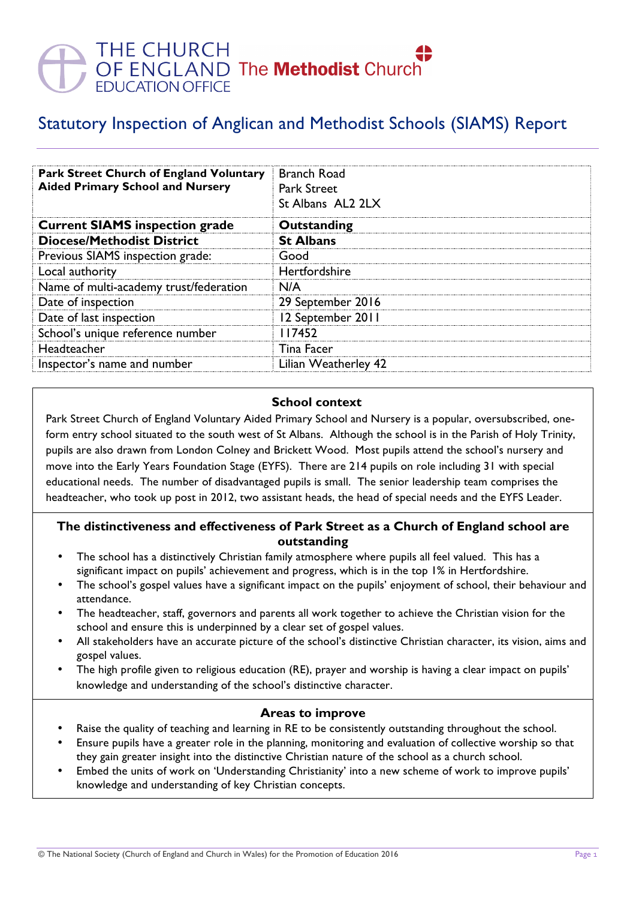# THE CHURCH<br>OF ENGLAND The **Methodist** Churc<br>EDUCATION OFFICE

# Statutory Inspection of Anglican and Methodist Schools (SIAMS) Report

| <b>Park Street Church of England Voluntary</b><br><b>Aided Primary School and Nursery</b> | <b>Branch Road</b><br><b>Park Street</b><br>St Albans AL2 2LX |
|-------------------------------------------------------------------------------------------|---------------------------------------------------------------|
| <b>Current SIAMS inspection grade</b>                                                     | Outstanding                                                   |
| <b>Diocese/Methodist District</b>                                                         | <b>St Albans</b>                                              |
| Previous SIAMS inspection grade:                                                          | Good                                                          |
| Local authority                                                                           | Hertfordshire                                                 |
| Name of multi-academy trust/federation                                                    | N/A                                                           |
| Date of inspection                                                                        | 29 September 2016                                             |
| Date of last inspection                                                                   | 12 September 2011                                             |
| School's unique reference number                                                          | 117452                                                        |
| Headteacher                                                                               | Tina Facer                                                    |
| Inspector's name and number                                                               | Lilian Weatherley 42                                          |

# **School context**

Park Street Church of England Voluntary Aided Primary School and Nursery is a popular, oversubscribed, oneform entry school situated to the south west of St Albans. Although the school is in the Parish of Holy Trinity, pupils are also drawn from London Colney and Brickett Wood. Most pupils attend the school's nursery and move into the Early Years Foundation Stage (EYFS). There are 214 pupils on role including 31 with special educational needs. The number of disadvantaged pupils is small. The senior leadership team comprises the headteacher, who took up post in 2012, two assistant heads, the head of special needs and the EYFS Leader.

#### **The distinctiveness and effectiveness of Park Street as a Church of England school are outstanding**

- The school has a distinctively Christian family atmosphere where pupils all feel valued. This has a significant impact on pupils' achievement and progress, which is in the top 1% in Hertfordshire.
- The school's gospel values have a significant impact on the pupils' enjoyment of school, their behaviour and attendance.
- The headteacher, staff, governors and parents all work together to achieve the Christian vision for the school and ensure this is underpinned by a clear set of gospel values.
- All stakeholders have an accurate picture of the school's distinctive Christian character, its vision, aims and gospel values.
- The high profile given to religious education (RE), prayer and worship is having a clear impact on pupils' knowledge and understanding of the school's distinctive character.

#### **Areas to improve**

- Raise the quality of teaching and learning in RE to be consistently outstanding throughout the school.
- Ensure pupils have a greater role in the planning, monitoring and evaluation of collective worship so that they gain greater insight into the distinctive Christian nature of the school as a church school.
- Embed the units of work on 'Understanding Christianity' into a new scheme of work to improve pupils' knowledge and understanding of key Christian concepts.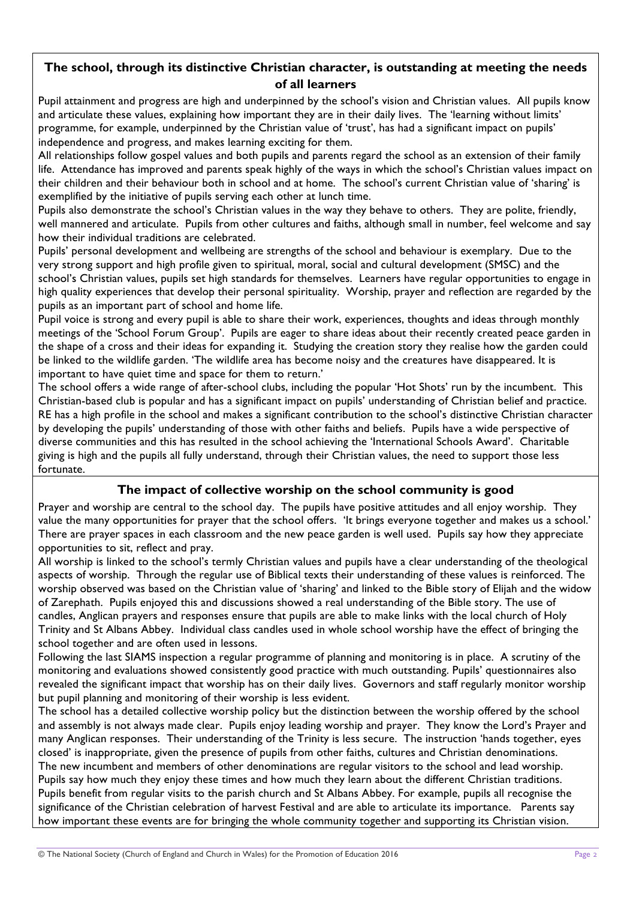# **The school, through its distinctive Christian character, is outstanding at meeting the needs of all learners**

Pupil attainment and progress are high and underpinned by the school's vision and Christian values. All pupils know and articulate these values, explaining how important they are in their daily lives. The 'learning without limits' programme, for example, underpinned by the Christian value of 'trust', has had a significant impact on pupils' independence and progress, and makes learning exciting for them.

All relationships follow gospel values and both pupils and parents regard the school as an extension of their family life. Attendance has improved and parents speak highly of the ways in which the school's Christian values impact on their children and their behaviour both in school and at home. The school's current Christian value of 'sharing' is exemplified by the initiative of pupils serving each other at lunch time.

Pupils also demonstrate the school's Christian values in the way they behave to others. They are polite, friendly, well mannered and articulate. Pupils from other cultures and faiths, although small in number, feel welcome and say how their individual traditions are celebrated.

Pupils' personal development and wellbeing are strengths of the school and behaviour is exemplary. Due to the very strong support and high profile given to spiritual, moral, social and cultural development (SMSC) and the school's Christian values, pupils set high standards for themselves. Learners have regular opportunities to engage in high quality experiences that develop their personal spirituality. Worship, prayer and reflection are regarded by the pupils as an important part of school and home life.

Pupil voice is strong and every pupil is able to share their work, experiences, thoughts and ideas through monthly meetings of the 'School Forum Group'. Pupils are eager to share ideas about their recently created peace garden in the shape of a cross and their ideas for expanding it. Studying the creation story they realise how the garden could be linked to the wildlife garden. 'The wildlife area has become noisy and the creatures have disappeared. It is important to have quiet time and space for them to return.'

The school offers a wide range of after-school clubs, including the popular 'Hot Shots' run by the incumbent. This Christian-based club is popular and has a significant impact on pupils' understanding of Christian belief and practice. RE has a high profile in the school and makes a significant contribution to the school's distinctive Christian character by developing the pupils' understanding of those with other faiths and beliefs. Pupils have a wide perspective of diverse communities and this has resulted in the school achieving the 'International Schools Award'. Charitable giving is high and the pupils all fully understand, through their Christian values, the need to support those less fortunate.

# **The impact of collective worship on the school community is good**

Prayer and worship are central to the school day. The pupils have positive attitudes and all enjoy worship. They value the many opportunities for prayer that the school offers. 'It brings everyone together and makes us a school.' There are prayer spaces in each classroom and the new peace garden is well used. Pupils say how they appreciate opportunities to sit, reflect and pray.

All worship is linked to the school's termly Christian values and pupils have a clear understanding of the theological aspects of worship. Through the regular use of Biblical texts their understanding of these values is reinforced. The worship observed was based on the Christian value of 'sharing' and linked to the Bible story of Elijah and the widow of Zarephath. Pupils enjoyed this and discussions showed a real understanding of the Bible story. The use of candles, Anglican prayers and responses ensure that pupils are able to make links with the local church of Holy Trinity and St Albans Abbey. Individual class candles used in whole school worship have the effect of bringing the school together and are often used in lessons.

Following the last SIAMS inspection a regular programme of planning and monitoring is in place. A scrutiny of the monitoring and evaluations showed consistently good practice with much outstanding. Pupils' questionnaires also revealed the significant impact that worship has on their daily lives. Governors and staff regularly monitor worship but pupil planning and monitoring of their worship is less evident.

The school has a detailed collective worship policy but the distinction between the worship offered by the school and assembly is not always made clear. Pupils enjoy leading worship and prayer. They know the Lord's Prayer and many Anglican responses. Their understanding of the Trinity is less secure. The instruction 'hands together, eyes closed' is inappropriate, given the presence of pupils from other faiths, cultures and Christian denominations. The new incumbent and members of other denominations are regular visitors to the school and lead worship. Pupils say how much they enjoy these times and how much they learn about the different Christian traditions. Pupils benefit from regular visits to the parish church and St Albans Abbey. For example, pupils all recognise the significance of the Christian celebration of harvest Festival and are able to articulate its importance. Parents say how important these events are for bringing the whole community together and supporting its Christian vision.